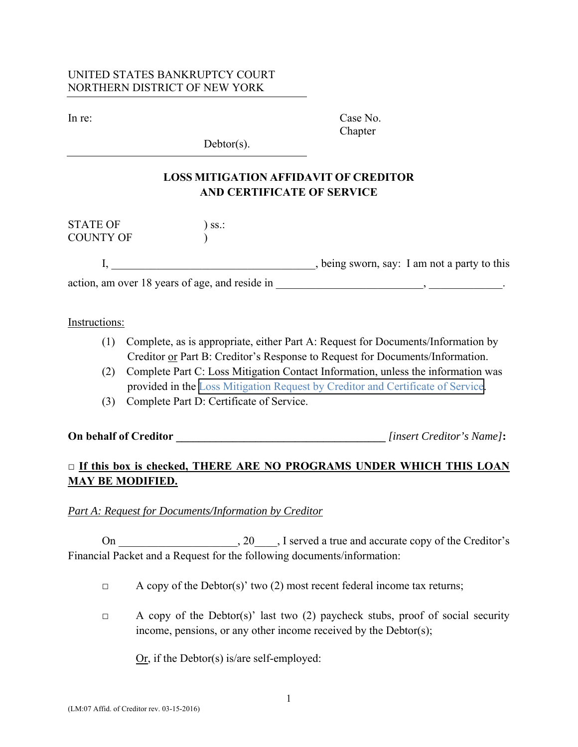### UNITED STATES BANKRUPTCY COURT NORTHERN DISTRICT OF NEW YORK

In re: Case No. Chapter

 $Dektor(s)$ .

# **LOSS MITIGATION AFFIDAVIT OF CREDITOR AND CERTIFICATE OF SERVICE**

 $\begin{minipage}{.4\linewidth} \textbf{STATE OF} \\ \textbf{S}\textbf{S} & \textbf{S}\textbf{S} \\ \textbf{S}\textbf{S} & \textbf{S}\textbf{S} \\ \textbf{S}\textbf{S} & \textbf{S}\textbf{S} \\ \textbf{S}\textbf{S} & \textbf{S}\textbf{S} \\ \textbf{S}\textbf{S} & \textbf{S}\textbf{S} \\ \textbf{S}\textbf{S} & \textbf{S}\textbf{S} \\ \textbf{S}\textbf{S} & \textbf{S}\textbf{S} \\ \textbf{S}\textbf{S} & \textbf{S}\textbf{S} \\ \textbf{S}\textbf$ COUNTY OF )

I, \_\_\_\_\_\_\_\_\_\_\_\_\_\_\_\_\_\_\_\_\_\_\_\_\_\_\_\_\_, being sworn, say: I am not a party to this

action, am over 18 years of age, and reside in \_\_\_\_\_\_\_\_\_\_\_\_\_\_\_\_\_\_\_\_\_\_\_\_\_\_, \_\_\_\_\_\_\_\_\_\_\_\_\_.

#### Instructions:

- (1) Complete, as is appropriate, either Part A: Request for Documents/Information by Creditor or Part B: Creditor's Response to Request for Documents/Information.
- (2) Complete Part C: Loss Mitigation Contact Information, unless the information was provided in the [Loss Mitigation Request by Creditor and Certificate of Service.](www.nynb.uscourts.gov/?q=forms/lm02-loss-mitigation-request-creditor-and-certificate-service)
- (3) Complete Part D: Certificate of Service.

# **On behalf of Creditor \_\_\_\_\_\_\_\_\_\_\_\_\_\_\_\_\_\_\_\_\_\_\_\_\_\_\_\_\_\_\_\_\_\_\_\_\_** *[insert Creditor's Name]***:**

## **□ If this box is checked, THERE ARE NO PROGRAMS UNDER WHICH THIS LOAN MAY BE MODIFIED.**

#### *Part A: Request for Documents/Information by Creditor*

On \_\_\_\_\_\_\_\_\_\_\_\_\_\_\_\_\_\_, 20\_\_\_\_, I served a true and accurate copy of the Creditor's Financial Packet and a Request for the following documents/information:

- $\Box$  A copy of the Debtor(s)' two (2) most recent federal income tax returns;
- $\Box$  A copy of the Debtor(s)' last two (2) paycheck stubs, proof of social security income, pensions, or any other income received by the Debtor(s);

Or, if the Debtor(s) is/are self-employed: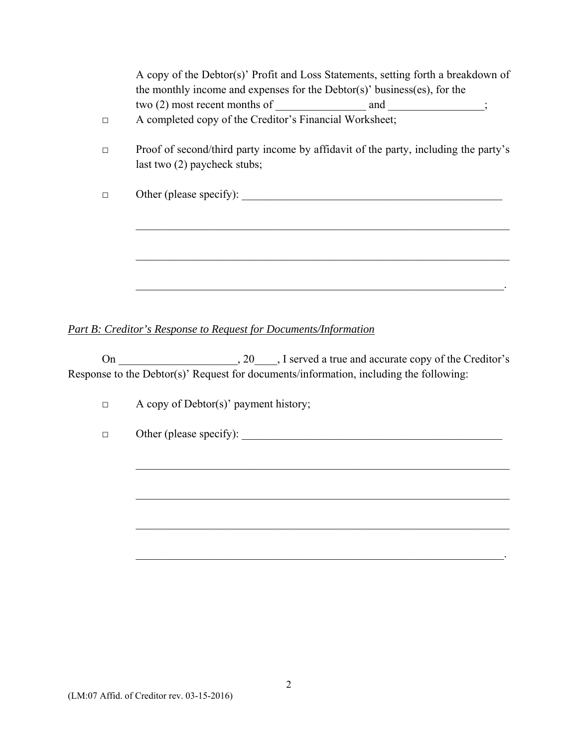| last two $(2)$ paycheck stubs; | Proof of second/third party income by affidavit of the party, including the party's |
|--------------------------------|-------------------------------------------------------------------------------------|
| Other (please specify):        |                                                                                     |
|                                |                                                                                     |

## *Part B: Creditor's Response to Request for Documents/Information*

On 20 . I served a true and accurate copy of the Creditor's Response to the Debtor(s)' Request for documents/information, including the following:

 $\mathcal{L}_\mathcal{L} = \mathcal{L}_\mathcal{L} = \mathcal{L}_\mathcal{L} = \mathcal{L}_\mathcal{L} = \mathcal{L}_\mathcal{L} = \mathcal{L}_\mathcal{L} = \mathcal{L}_\mathcal{L} = \mathcal{L}_\mathcal{L} = \mathcal{L}_\mathcal{L} = \mathcal{L}_\mathcal{L} = \mathcal{L}_\mathcal{L} = \mathcal{L}_\mathcal{L} = \mathcal{L}_\mathcal{L} = \mathcal{L}_\mathcal{L} = \mathcal{L}_\mathcal{L} = \mathcal{L}_\mathcal{L} = \mathcal{L}_\mathcal{L}$ 

 $\mathcal{L}_\mathcal{L} = \mathcal{L}_\mathcal{L} = \mathcal{L}_\mathcal{L} = \mathcal{L}_\mathcal{L} = \mathcal{L}_\mathcal{L} = \mathcal{L}_\mathcal{L} = \mathcal{L}_\mathcal{L} = \mathcal{L}_\mathcal{L} = \mathcal{L}_\mathcal{L} = \mathcal{L}_\mathcal{L} = \mathcal{L}_\mathcal{L} = \mathcal{L}_\mathcal{L} = \mathcal{L}_\mathcal{L} = \mathcal{L}_\mathcal{L} = \mathcal{L}_\mathcal{L} = \mathcal{L}_\mathcal{L} = \mathcal{L}_\mathcal{L}$ 

 $\mathcal{L}_\mathcal{L} = \mathcal{L}_\mathcal{L} = \mathcal{L}_\mathcal{L} = \mathcal{L}_\mathcal{L} = \mathcal{L}_\mathcal{L} = \mathcal{L}_\mathcal{L} = \mathcal{L}_\mathcal{L} = \mathcal{L}_\mathcal{L} = \mathcal{L}_\mathcal{L} = \mathcal{L}_\mathcal{L} = \mathcal{L}_\mathcal{L} = \mathcal{L}_\mathcal{L} = \mathcal{L}_\mathcal{L} = \mathcal{L}_\mathcal{L} = \mathcal{L}_\mathcal{L} = \mathcal{L}_\mathcal{L} = \mathcal{L}_\mathcal{L}$ 

 $\mathcal{L}_\mathcal{L} = \mathcal{L}_\mathcal{L} = \mathcal{L}_\mathcal{L} = \mathcal{L}_\mathcal{L} = \mathcal{L}_\mathcal{L} = \mathcal{L}_\mathcal{L} = \mathcal{L}_\mathcal{L} = \mathcal{L}_\mathcal{L} = \mathcal{L}_\mathcal{L} = \mathcal{L}_\mathcal{L} = \mathcal{L}_\mathcal{L} = \mathcal{L}_\mathcal{L} = \mathcal{L}_\mathcal{L} = \mathcal{L}_\mathcal{L} = \mathcal{L}_\mathcal{L} = \mathcal{L}_\mathcal{L} = \mathcal{L}_\mathcal{L}$ 

□ A copy of Debtor(s)' payment history;

□ Other (please specify): \_\_\_\_\_\_\_\_\_\_\_\_\_\_\_\_\_\_\_\_\_\_\_\_\_\_\_\_\_\_\_\_\_\_\_\_\_\_\_\_\_\_\_\_\_\_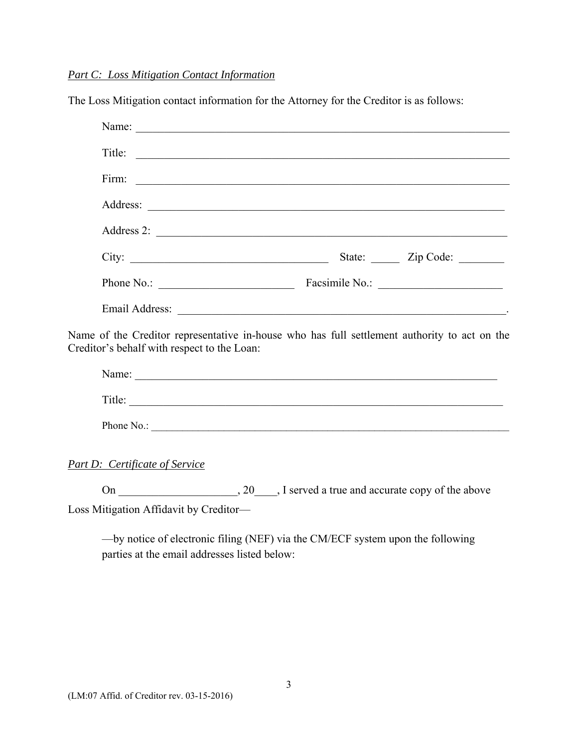### *Part C: Loss Mitigation Contact Information*

The Loss Mitigation contact information for the Attorney for the Creditor is as follows:

| Title:                                                                                                                                                                                                                         |                         |
|--------------------------------------------------------------------------------------------------------------------------------------------------------------------------------------------------------------------------------|-------------------------|
|                                                                                                                                                                                                                                |                         |
|                                                                                                                                                                                                                                |                         |
| Address 2:                                                                                                                                                                                                                     |                         |
| City:                                                                                                                                                                                                                          | State: <u>Zip Code:</u> |
|                                                                                                                                                                                                                                |                         |
| Email Address: No. 1996. The Contract of the Contract of the Contract of the Contract of the Contract of the Contract of the Contract of the Contract of the Contract of the Contract of the Contract of the Contract of the C |                         |
| Name of the Creditor representative in-house who has full settlement authority to act on the<br>Creditor's behalf with respect to the Loan:                                                                                    |                         |
|                                                                                                                                                                                                                                |                         |
| Title:                                                                                                                                                                                                                         |                         |

Phone No.:

*Part D: Certificate of Service* 

On \_\_\_\_\_\_\_\_\_\_\_\_\_\_\_\_\_\_\_, 20\_\_\_\_, I served a true and accurate copy of the above Loss Mitigation Affidavit by Creditor—

—by notice of electronic filing (NEF) via the CM/ECF system upon the following parties at the email addresses listed below: